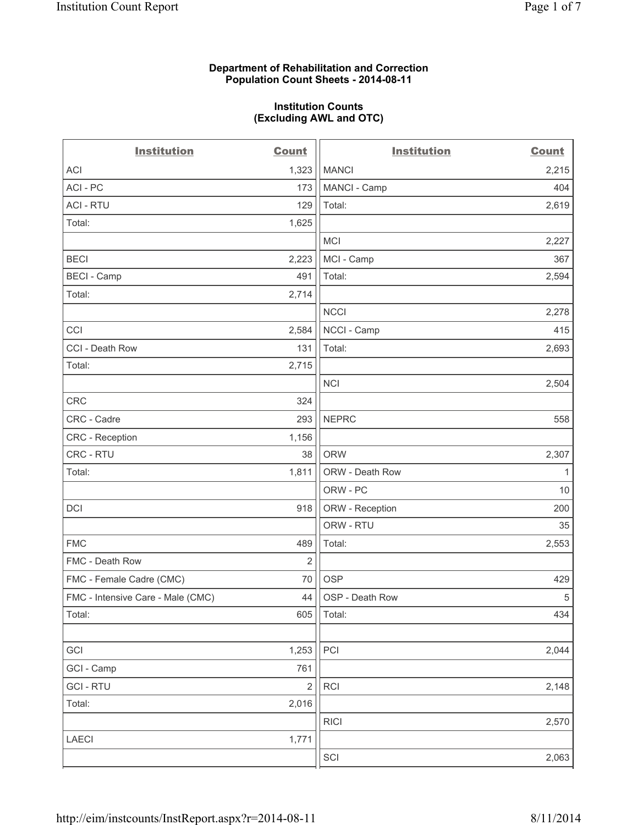## **Department of Rehabilitation and Correction Population Count Sheets - 2014-08-11**

#### **Institution Counts (Excluding AWL and OTC)**

| <b>Institution</b>                | <b>Count</b>   | <b>Institution</b> | <b>Count</b> |
|-----------------------------------|----------------|--------------------|--------------|
| <b>ACI</b>                        | 1,323          | <b>MANCI</b>       | 2,215        |
| ACI - PC                          | 173            | MANCI - Camp       | 404          |
| <b>ACI - RTU</b>                  | 129            | Total:             | 2,619        |
| Total:                            | 1,625          |                    |              |
|                                   |                | <b>MCI</b>         | 2,227        |
| <b>BECI</b>                       | 2,223          | MCI - Camp         | 367          |
| <b>BECI - Camp</b>                | 491            | Total:             | 2,594        |
| Total:                            | 2,714          |                    |              |
|                                   |                | <b>NCCI</b>        | 2,278        |
| CCI                               | 2,584          | NCCI - Camp        | 415          |
| CCI - Death Row                   | 131            | Total:             | 2,693        |
| Total:                            | 2,715          |                    |              |
|                                   |                | <b>NCI</b>         | 2,504        |
| CRC                               | 324            |                    |              |
| CRC - Cadre                       | 293            | <b>NEPRC</b>       | 558          |
| CRC - Reception                   | 1,156          |                    |              |
| CRC - RTU                         | 38             | <b>ORW</b>         | 2,307        |
| Total:                            | 1,811          | ORW - Death Row    | $\mathbf{1}$ |
|                                   |                | ORW - PC           | 10           |
| <b>DCI</b>                        | 918            | ORW - Reception    | 200          |
|                                   |                | ORW - RTU          | 35           |
| <b>FMC</b>                        | 489            | Total:             | 2,553        |
| FMC - Death Row                   | 2              |                    |              |
| FMC - Female Cadre (CMC)          | 70             | <b>OSP</b>         | 429          |
| FMC - Intensive Care - Male (CMC) | 44             | OSP - Death Row    | $\sqrt{5}$   |
| Total:                            | 605            | Total:             | 434          |
|                                   |                |                    |              |
| GCI                               | 1,253          | PCI                | 2,044        |
| GCI - Camp                        | 761            |                    |              |
| <b>GCI-RTU</b>                    | $\overline{2}$ | <b>RCI</b>         | 2,148        |
| Total:                            | 2,016          |                    |              |
|                                   |                | <b>RICI</b>        | 2,570        |
| LAECI                             | 1,771          |                    |              |
|                                   |                | SCI                | 2,063        |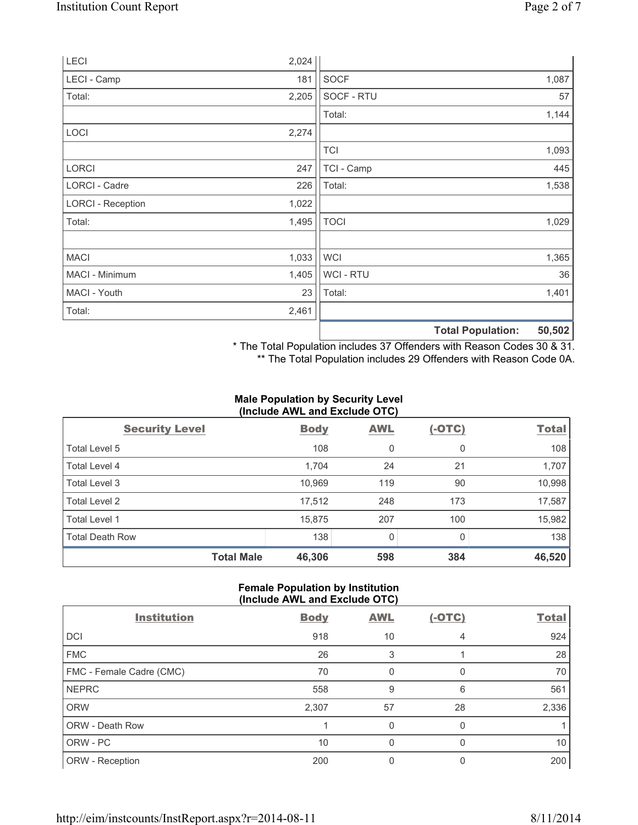|                          |       |                | 50,502<br><b>Total Population:</b> |
|--------------------------|-------|----------------|------------------------------------|
| Total:                   | 2,461 |                |                                    |
| MACI - Youth             | 23    | Total:         | 1,401                              |
| MACI - Minimum           | 1,405 | <b>WCI-RTU</b> | 36                                 |
| <b>MACI</b>              | 1,033 | <b>WCI</b>     | 1,365                              |
| Total:                   | 1,495 | <b>TOCI</b>    | 1,029                              |
| <b>LORCI - Reception</b> | 1,022 |                |                                    |
| LORCI - Cadre            | 226   | Total:         | 1,538                              |
| <b>LORCI</b>             | 247   | TCI - Camp     | 445                                |
|                          |       | <b>TCI</b>     | 1,093                              |
| LOCI                     | 2,274 |                |                                    |
|                          |       | Total:         | 1,144                              |
| Total:                   | 2,205 | SOCF - RTU     | 57                                 |
| LECI - Camp              | 181   | <b>SOCF</b>    | 1,087                              |
| LECI                     | 2,024 |                |                                    |

\* The Total Population includes 37 Offenders with Reason Codes 30 & 31.

\*\* The Total Population includes 29 Offenders with Reason Code 0A.

## **Male Population by Security Level (Include AWL and Exclude OTC)**

| $\frac{1}{2}$          |             |            |          |              |  |
|------------------------|-------------|------------|----------|--------------|--|
| <b>Security Level</b>  | <b>Body</b> | <b>AWL</b> | $(-OTC)$ | <b>Total</b> |  |
| Total Level 5          | 108         | 0          | 0        | 108          |  |
| Total Level 4          | 1,704       | 24         | 21       | 1,707        |  |
| Total Level 3          | 10,969      | 119        | 90       | 10,998       |  |
| Total Level 2          | 17,512      | 248        | 173      | 17,587       |  |
| <b>Total Level 1</b>   | 15,875      | 207        | 100      | 15,982       |  |
| <b>Total Death Row</b> | 138         | 0          | $\Omega$ | 138          |  |
| <b>Total Male</b>      | 46,306      | 598        | 384      | 46,520       |  |

## **Female Population by Institution (Include AWL and Exclude OTC)**

| <b>Institution</b>       | <b>Body</b> | <b>AWL</b> | $(-OTC)$ | <b>Total</b> |
|--------------------------|-------------|------------|----------|--------------|
| DCI                      | 918         | 10         | 4        | 924          |
| <b>FMC</b>               | 26          | 3          |          | 28           |
| FMC - Female Cadre (CMC) | 70          | 0          |          | 70           |
| <b>NEPRC</b>             | 558         | 9          | 6        | 561          |
| <b>ORW</b>               | 2,307       | 57         | 28       | 2,336        |
| ORW - Death Row          |             | 0          |          |              |
| ORW - PC                 | 10          | 0          |          | 10           |
| ORW - Reception          | 200         |            |          | 200          |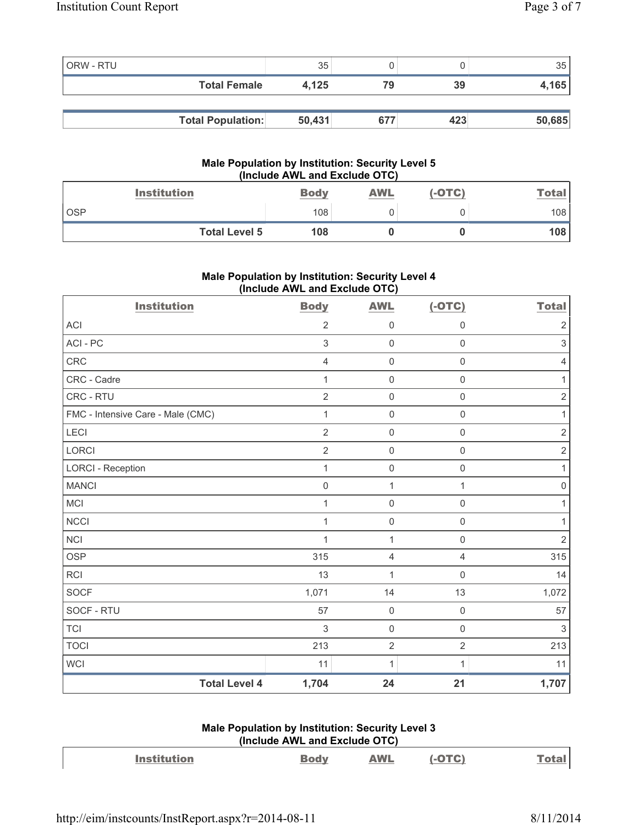| ORW - RTU |                          | 35     |     |     | 35     |
|-----------|--------------------------|--------|-----|-----|--------|
|           | <b>Total Female</b>      | 4.125  | 79  | 39  | 4,165  |
|           |                          |        |     |     |        |
|           | <b>Total Population:</b> | 50,431 | 677 | 423 | 50,685 |

## **Male Population by Institution: Security Level 5 (Include AWL and Exclude OTC)**

| <b>Institution</b>   | <b>Body</b> | <b>AWL</b> | (-OTC) | Total |
|----------------------|-------------|------------|--------|-------|
| <b>OSP</b>           | 108         |            |        | 108   |
| <b>Total Level 5</b> | 108         |            |        | 108   |

# **Male Population by Institution: Security Level 4 (Include AWL and Exclude OTC)**

| <b>Institution</b>                | <b>Body</b>    | <b>AWL</b>          | $(-OTC)$            | <b>Total</b>   |
|-----------------------------------|----------------|---------------------|---------------------|----------------|
| <b>ACI</b>                        | $\overline{2}$ | 0                   | $\mathbf 0$         | 2              |
| ACI-PC                            | $\mathfrak{S}$ | $\mathsf{O}\xspace$ | $\mathsf 0$         | 3              |
| <b>CRC</b>                        | $\overline{4}$ | $\mathsf{O}\xspace$ | $\mathbf 0$         | 4              |
| CRC - Cadre                       | 1              | $\mathsf{O}\xspace$ | $\mathbf 0$         | 1              |
| CRC - RTU                         | $\overline{2}$ | $\mathsf{O}\xspace$ | $\mathbf 0$         | $\overline{2}$ |
| FMC - Intensive Care - Male (CMC) | 1              | $\mathsf{O}\xspace$ | $\mathsf{O}\xspace$ | 1              |
| LECI                              | $\overline{2}$ | $\mathsf{O}\xspace$ | $\mathbf 0$         | $\sqrt{2}$     |
| <b>LORCI</b>                      | $\overline{2}$ | $\mathsf{O}\xspace$ | $\mathbf 0$         | $\overline{2}$ |
| <b>LORCI - Reception</b>          | 1              | $\mathsf{O}\xspace$ | $\mathsf{O}\xspace$ | 1              |
| <b>MANCI</b>                      | $\mathbf 0$    | 1                   | 1                   | 0              |
| <b>MCI</b>                        | 1              | 0                   | $\mathbf 0$         | 1              |
| <b>NCCI</b>                       | 1              | $\mathsf{O}\xspace$ | $\mathbf 0$         |                |
| <b>NCI</b>                        | $\mathbf 1$    | $\mathbf{1}$        | $\mathsf{O}\xspace$ | $\overline{2}$ |
| <b>OSP</b>                        | 315            | 4                   | $\overline{4}$      | 315            |
| <b>RCI</b>                        | 13             | $\mathbf{1}$        | $\mathbf 0$         | 14             |
| <b>SOCF</b>                       | 1,071          | 14                  | 13                  | 1,072          |
| SOCF - RTU                        | 57             | $\mathsf{O}\xspace$ | $\mathbf 0$         | 57             |
| <b>TCI</b>                        | 3              | $\mathsf{O}\xspace$ | $\mathsf 0$         | 3              |
| <b>TOCI</b>                       | 213            | $\overline{2}$      | $\overline{2}$      | 213            |
| <b>WCI</b>                        | 11             | $\mathbf{1}$        |                     | 11             |
| <b>Total Level 4</b>              | 1,704          | 24                  | 21                  | 1,707          |

# **Male Population by Institution: Security Level 3 (Include AWL and Exclude OTC)**

| <b>Institution</b> | <b>Body</b> | <b>AWL</b> | $(-OTC)$ | <b>Total</b> |
|--------------------|-------------|------------|----------|--------------|
|                    |             |            |          |              |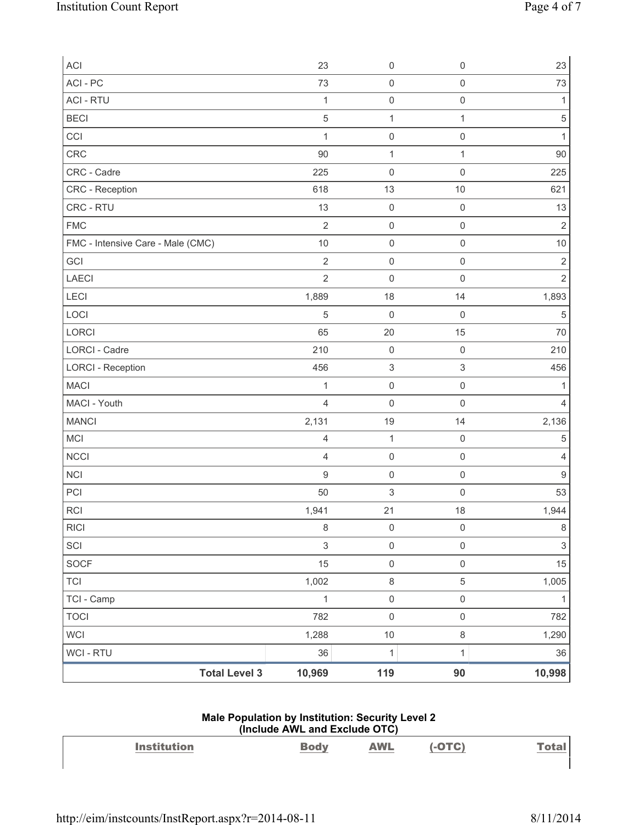| ACI                               | 23               | $\mathsf 0$               | $\mathsf 0$               | 23                        |
|-----------------------------------|------------------|---------------------------|---------------------------|---------------------------|
| ACI - PC                          | 73               | $\mathsf 0$               | $\mathsf 0$               | 73                        |
| <b>ACI - RTU</b>                  | $\mathbf{1}$     | $\mathsf{O}\xspace$       | $\mathsf 0$               | 1                         |
| <b>BECI</b>                       | $\sqrt{5}$       | $\mathbf{1}$              | $\mathbf{1}$              | $\,$ 5 $\,$               |
| CCI                               | 1                | 0                         | $\mathsf 0$               | $\mathbf{1}$              |
| CRC                               | 90               | $\mathbf{1}$              | $\mathbf{1}$              | 90                        |
| CRC - Cadre                       | 225              | 0                         | $\mathsf 0$               | 225                       |
| <b>CRC</b> - Reception            | 618              | 13                        | $10$                      | 621                       |
| CRC - RTU                         | 13               | $\mathsf 0$               | $\mathsf 0$               | 13                        |
| <b>FMC</b>                        | $\overline{2}$   | 0                         | $\mathsf{O}\xspace$       | $\overline{2}$            |
| FMC - Intensive Care - Male (CMC) | 10               | $\mathsf{O}\xspace$       | $\mathsf 0$               | $10$                      |
| GCI                               | $\sqrt{2}$       | $\mathsf{O}\xspace$       | $\mathsf 0$               | $\mathbf 2$               |
| <b>LAECI</b>                      | $\overline{2}$   | 0                         | $\mathsf 0$               | $\overline{2}$            |
| LECI                              | 1,889            | 18                        | 14                        | 1,893                     |
| LOCI                              | $\sqrt{5}$       | 0                         | $\mathsf 0$               | $\sqrt{5}$                |
| LORCI                             | 65               | 20                        | 15                        | 70                        |
| LORCI - Cadre                     | 210              | $\mathsf{O}\xspace$       | $\mathsf 0$               | 210                       |
| <b>LORCI - Reception</b>          | 456              | $\ensuremath{\mathsf{3}}$ | $\ensuremath{\mathsf{3}}$ | 456                       |
| <b>MACI</b>                       | $\mathbf 1$      | $\mathsf 0$               | $\mathsf 0$               | 1                         |
| MACI - Youth                      | $\overline{4}$   | $\mathsf 0$               | $\mathsf{O}\xspace$       | 4                         |
| <b>MANCI</b>                      | 2,131            | 19                        | 14                        | 2,136                     |
| <b>MCI</b>                        | $\overline{4}$   | $\mathbf{1}$              | $\mathsf 0$               | 5                         |
| <b>NCCI</b>                       | $\overline{4}$   | $\mathsf 0$               | $\mathsf 0$               | 4                         |
| <b>NCI</b>                        | $\boldsymbol{9}$ | $\mathsf 0$               | $\mathsf 0$               | $\overline{9}$            |
| PCI                               | 50               | $\ensuremath{\mathsf{3}}$ | $\mathsf 0$               | 53                        |
| RCI                               | 1,941            | 21                        | 18                        | 1,944                     |
| <b>RICI</b>                       | $\,8\,$          | $\mathsf{O}\xspace$       | $\mathsf{O}\xspace$       | $\,8\,$                   |
| SCI                               | $\mathsf 3$      | $\mathsf 0$               | $\mathsf{O}\xspace$       | $\ensuremath{\mathsf{3}}$ |
| SOCF                              | 15               | $\mathsf{O}\xspace$       | $\mathsf 0$               | 15                        |
| <b>TCI</b>                        | 1,002            | $\,8\,$                   | 5                         | 1,005                     |
| TCI - Camp                        | $\mathbf{1}$     | $\mathsf{O}\xspace$       | $\mathsf{O}\xspace$       | $\mathbf{1}$              |
| <b>TOCI</b>                       | 782              | $\mathsf 0$               | $\mathsf 0$               | 782                       |
| <b>WCI</b>                        | 1,288            | $10$                      | $\,8\,$                   | 1,290                     |
| WCI - RTU                         | 36               | $\mathbf 1$               | $\mathbf{1}$              | 36                        |
| <b>Total Level 3</b>              | 10,969           | 119                       | 90                        | 10,998                    |

#### **Male Population by Institution: Security Level 2 (Include AWL and Exclude OTC)**

| <b>Institution</b> | <b>AWL</b><br>____ | 2T(t) | <b>Contract Contract Contract</b> |
|--------------------|--------------------|-------|-----------------------------------|
|                    |                    |       |                                   |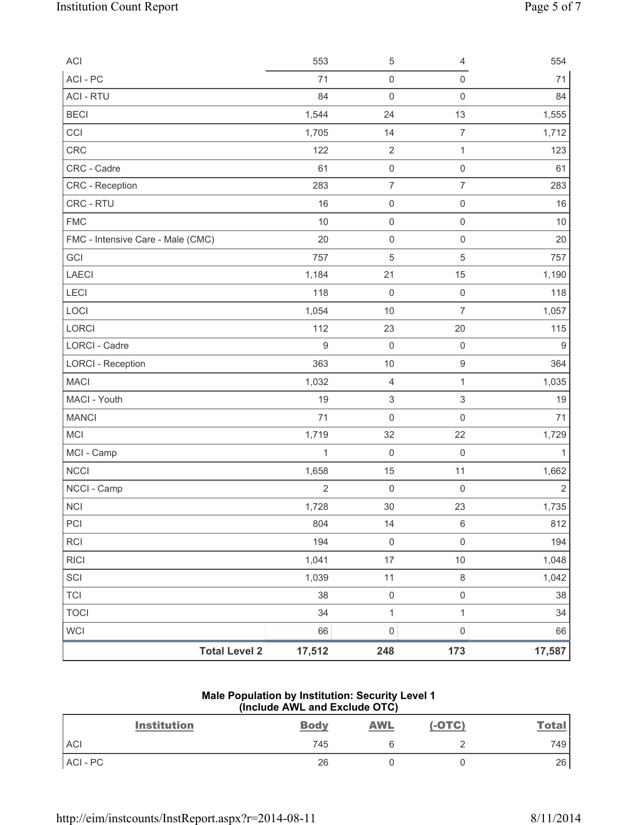| ACI                               | 553              | 5                         | 4                         | 554            |
|-----------------------------------|------------------|---------------------------|---------------------------|----------------|
| ACI-PC                            | 71               | $\mathsf{O}\xspace$       | $\mathsf 0$               | 71             |
| <b>ACI - RTU</b>                  | 84               | $\mathsf{O}\xspace$       | $\mathbf 0$               | 84             |
| <b>BECI</b>                       | 1,544            | 24                        | 13                        | 1,555          |
| CCI                               | 1,705            | 14                        | $\overline{7}$            | 1,712          |
| <b>CRC</b>                        | 122              | $\overline{2}$            | $\mathbf{1}$              | 123            |
| CRC - Cadre                       | 61               | $\mathsf{O}\xspace$       | $\mathsf 0$               | 61             |
| <b>CRC</b> - Reception            | 283              | $\overline{\mathcal{I}}$  | $\overline{7}$            | 283            |
| CRC - RTU                         | 16               | $\mathsf 0$               | $\mathsf{O}\xspace$       | 16             |
| <b>FMC</b>                        | $10$             | $\mathsf{O}\xspace$       | $\mathsf 0$               | 10             |
| FMC - Intensive Care - Male (CMC) | 20               | $\mathbf 0$               | $\mathbf 0$               | 20             |
| GCI                               | 757              | 5                         | $\sqrt{5}$                | 757            |
| LAECI                             | 1,184            | 21                        | 15                        | 1,190          |
| LECI                              | 118              | $\mathbf 0$               | $\mathsf 0$               | 118            |
| LOCI                              | 1,054            | 10                        | $\overline{7}$            | 1,057          |
| <b>LORCI</b>                      | 112              | 23                        | 20                        | 115            |
| LORCI - Cadre                     | $\boldsymbol{9}$ | $\mathbf 0$               | $\mathsf{O}\xspace$       | 9              |
| <b>LORCI - Reception</b>          | 363              | $10$                      | $\boldsymbol{9}$          | 364            |
| <b>MACI</b>                       | 1,032            | 4                         | 1                         | 1,035          |
| MACI - Youth                      | 19               | $\ensuremath{\mathsf{3}}$ | $\ensuremath{\mathsf{3}}$ | 19             |
| <b>MANCI</b>                      | 71               | $\mathsf{O}\xspace$       | $\mathsf 0$               | 71             |
| MCI                               | 1,719            | 32                        | 22                        | 1,729          |
| MCI - Camp                        | $\mathbf{1}$     | $\mathsf{O}\xspace$       | $\mathsf{O}\xspace$       | 1              |
| <b>NCCI</b>                       | 1,658            | 15                        | 11                        | 1,662          |
| NCCI - Camp                       | $\overline{2}$   | $\mathsf{O}\xspace$       | $\mathsf 0$               | $\overline{2}$ |
| <b>NCI</b>                        | 1,728            | 30                        | 23                        | 1,735          |
| PCI                               | 804              | 14                        | 6                         | 812            |
| <b>RCI</b>                        | 194              | $\mathsf{O}\xspace$       | $\mathsf 0$               | 194            |
| <b>RICI</b>                       | 1,041            | 17                        | 10                        | 1,048          |
| SCI                               | 1,039            | 11                        | $\,8\,$                   | 1,042          |
| <b>TCI</b>                        | 38               | $\mathsf{O}\xspace$       | $\mathsf{O}\xspace$       | 38             |
| <b>TOCI</b>                       | 34               | $\mathbf{1}$              | $\mathbf 1$               | 34             |
| <b>WCI</b>                        | 66               | $\mathsf{O}\xspace$       | $\mathsf 0$               | 66             |
| <b>Total Level 2</b>              | 17,512           | 248                       | 173                       | 17,587         |

## **Male Population by Institution: Security Level 1 (Include AWL and Exclude OTC)**

| <b>Institution</b> | <b>Body</b> | <b>AWL</b> | $(-OTC)$ | <b>Total</b> |
|--------------------|-------------|------------|----------|--------------|
| <b>ACI</b>         | 745         |            |          | 749          |
| ACI-PC             | 26          |            |          | 26           |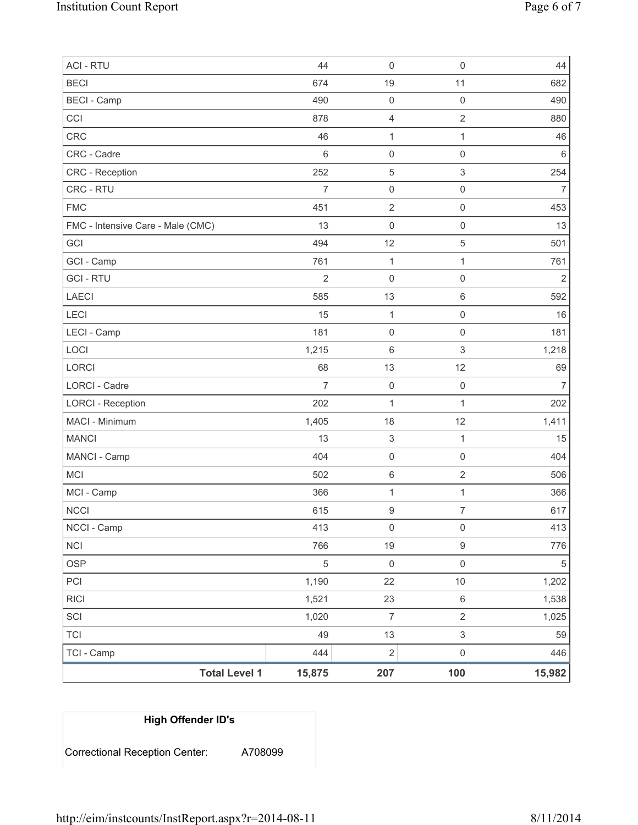| <b>TCI</b><br>TCI - Camp          | 49<br>444      | 13<br>$\mathbf 2$   | 3<br>$\mathsf{O}\xspace$ | 59<br>446      |
|-----------------------------------|----------------|---------------------|--------------------------|----------------|
| SCI                               | 1,020          | $\overline{7}$      | $\overline{2}$           | 1,025          |
| <b>RICI</b>                       | 1,521          | 23                  | 6                        | 1,538          |
| PCI                               | 1,190          | 22                  | $10$                     | 1,202          |
| <b>OSP</b>                        | 5              | $\mathsf 0$         | $\mathsf{O}\xspace$      | 5              |
| <b>NCI</b>                        | 766            | 19                  | 9                        | 776            |
| NCCI - Camp                       | 413            | $\mathsf{O}\xspace$ | $\mathsf 0$              | 413            |
| <b>NCCI</b>                       | 615            | $\mathsf g$         | $\overline{7}$           | 617            |
| MCI - Camp                        | 366            | $\mathbf 1$         | $\mathbf{1}$             | 366            |
| <b>MCI</b>                        | 502            | $\,6\,$             | $\overline{2}$           | 506            |
| MANCI - Camp                      | 404            | $\mathsf 0$         | $\mathsf{O}\xspace$      | 404            |
| <b>MANCI</b>                      | 13             | $\,$ 3 $\,$         | $\mathbf{1}$             | 15             |
| MACI - Minimum                    | 1,405          | 18                  | 12                       | 1,411          |
| <b>LORCI - Reception</b>          | 202            | $\mathbf{1}$        | $\mathbf{1}$             | 202            |
| LORCI - Cadre                     | $\overline{7}$ | $\mathbf 0$         | $\mathsf 0$              | $\overline{7}$ |
| LORCI                             | 68             | 13                  | 12                       | 69             |
| LOCI                              | 1,215          | 6                   | 3                        | 1,218          |
| LECI - Camp                       | 181            | $\mathsf{O}\xspace$ | $\mathsf{O}\xspace$      | 181            |
| LECI                              | 15             | $\mathbf{1}$        | $\mathsf{O}\xspace$      | 16             |
| <b>LAECI</b>                      | 585            | 13                  | 6                        | 592            |
| <b>GCI - RTU</b>                  | $\overline{2}$ | $\mathsf 0$         | $\mathsf{O}\xspace$      | $\overline{2}$ |
| GCI - Camp                        | 761            | $\mathbf{1}$        | $\mathbf{1}$             | 761            |
| GCI                               | 494            | 12                  | 5                        | 501            |
| FMC - Intensive Care - Male (CMC) | 13             | $\mathsf 0$         | $\mathsf{O}\xspace$      | 13             |
| <b>FMC</b>                        | 451            | $\overline{2}$      | $\mathsf{O}\xspace$      | 453            |
| CRC - RTU                         | $\overline{7}$ | $\mathsf 0$         | $\mathsf{O}\xspace$      | $\overline{7}$ |
| <b>CRC</b> - Reception            | 252            | $\mathbf 5$         | $\mathsf 3$              | 254            |
| CRC - Cadre                       | 6              | $\mathsf{O}\xspace$ | $\mathsf 0$              | $\,6\,$        |
| CRC                               | 46             | $\mathbf{1}$        | $\mathbf{1}$             | 46             |
| CCI                               | 878            | $\overline{4}$      | $\overline{2}$           | 880            |
| <b>BECI - Camp</b>                | 490            | $\mathsf 0$         | $\mathsf{O}\xspace$      | 490            |
| <b>BECI</b>                       | 674            | 19                  | 11                       | 682            |
| <b>ACI - RTU</b>                  | 44             | $\mathsf 0$         | $\mathsf 0$              | 44             |

# **High Offender ID's**

Correctional Reception Center: A708099